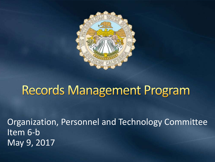

#### **Records Management Program**

Organization, Personnel and Technology Committee Item 6-b May 9, 2017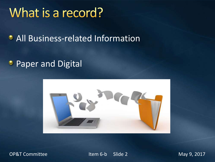#### What is a record?

**• All Business-related Information** 

#### **• Paper and Digital**



OP&T Committee The Item 6-b Slide 2 May 9, 2017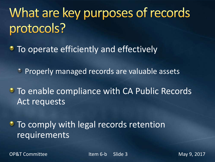# What are key purposes of records protocols?

• To operate efficiently and effectively

**Properly managed records are valuable assets** 

**To enable compliance with CA Public Records** Act requests

• To comply with legal records retention **requirements** 

OP&T Committee The Item 6-b Slide 3 May 9, 2017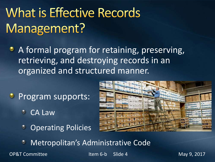# **What is Effective Records** Management?

A formal program for retaining, preserving, retrieving, and destroying records in an organized and structured manner.

- **Program supports:** 
	- CA Law
	- **Operating Policies**



Metropolitan's Administrative Code

OP&T Committee The Item 6-b Slide 4 May 9, 2017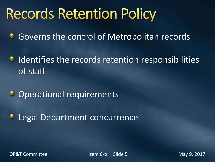# **Records Retention Policy**

Governs the control of Metropolitan records ۰

- Identifies the records retention responsibilities ٥ of staff
- $\bullet$ Operational requirements
- ٠ Legal Department concurrence

OP&T Committee The Item 6-b Slide 5 May 9, 2017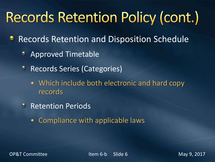# **Records Retention Policy (cont.)**

- Records Retention and Disposition Schedule ٠
	- Approved Timetable ٠
	- Records Series (Categories)  $\bullet$ 
		- Which include both electronic and hard copy records
	- **C** Retention Periods
		- Compliance with applicable laws

OP&T Committee The Item 6-b Slide 6 May 9, 2017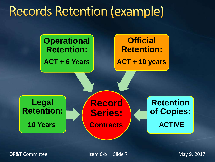## **Records Retention (example)**



OP&T Committee The Item 6-b Slide 7 May 9, 2017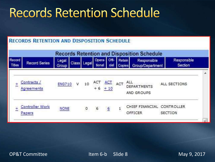#### **Records Retention Schedule**

#### **RECORDS RETENTION AND DISPOSITION SCHEDULE**



OP&T Committee Item 6-b Slide 8 May 9, 2017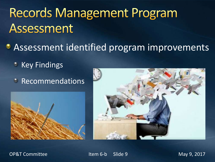# **Records Management Program** Assessment

- **Assessment identified program improvements** 
	- **C** Key Findings
	- **C** Recommendations





OP&T Committee The Item 6-b Slide 9 May 9, 2017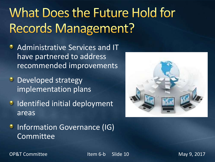# What Does the Future Hold for **Records Management?**

- **Administrative Services and IT** have partnered to address recommended improvements
- **Developed strategy** implementation plans
- **IDENTIFIED INCORPORT SHOW THE INCORPORATION** areas



**• Information Governance (IG)** Committee

OP&T Committee The Item 6-b Slide 10 May 9, 2017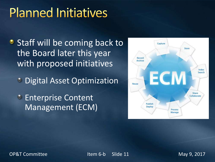## **Planned Initiatives**

• Staff will be coming back to the Board later this year with proposed initiatives

**C** Digital Asset Optimization

**Enterprise Content** Management (ECM)



OP&T Committee The Item 6-b Slide 11 May 9, 2017